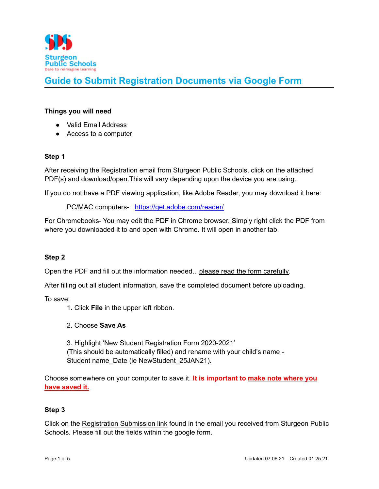

### **Things you will need**

- **●** Valid Email Address
- Access to a computer

## **Step 1**

After receiving the Registration email from Sturgeon Public Schools, click on the attached PDF(s) and download/open.This will vary depending upon the device you are using.

If you do not have a PDF viewing application, like Adobe Reader, you may download it here:

PC/MAC computers- <https://get.adobe.com/reader/>

For Chromebooks- You may edit the PDF in Chrome browser. Simply right click the PDF from where you downloaded it to and open with Chrome. It will open in another tab.

## **Step 2**

Open the PDF and fill out the information needed... please read the form carefully.

After filling out all student information, save the completed document before uploading.

To save:

1. Click **File** in the upper left ribbon.

2. Choose **Save As**

3. Highlight 'New Student Registration Form 2020-2021' (This should be automatically filled) and rename with your child's name - Student name Date (ie NewStudent 25JAN21).

Choose somewhere on your computer to save it. **It is important to make note where you have saved it.**

### **Step 3**

Click on the Registration Submission link found in the email you received from Sturgeon Public Schools. Please fill out the fields within the google form.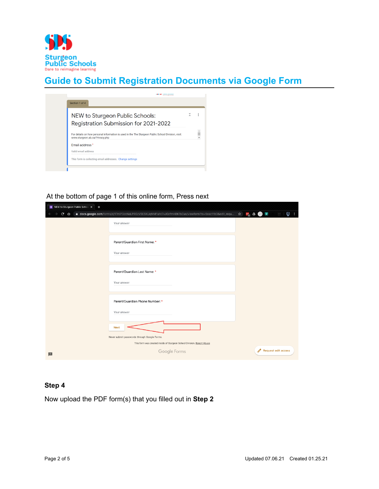

| NEW to Sturgeon Public Schools:                                                                                                      |  |
|--------------------------------------------------------------------------------------------------------------------------------------|--|
| Registration Submission for 2021-2022                                                                                                |  |
| For details on how personal information is used in the The Sturgeon Public School Division, visit:<br>www.sturgeon.ab.ca/Privacy.php |  |
| Fmail address*                                                                                                                       |  |
| Valid email address                                                                                                                  |  |

### At the bottom of page 1 of this online form, Press next

| <b>E</b> NEW to Sturgeon Public Schoo X<br>$\ddot{\phantom{1}}$                                                                                               |                                 |
|---------------------------------------------------------------------------------------------------------------------------------------------------------------|---------------------------------|
| <b>● docs.google.com</b> /forms/d/1TmlP3zcNaLPR0zV9ESKUqNNf1aht7vJOzfmHBKTsCus/viewform?ts=5eac11b3&edit_requ… ☆ <mark>……</mark> <b>△ ①</b> S<br>$C$ $\Omega$ | 2                               |
| Your answer                                                                                                                                                   |                                 |
| Parent/Guardian First Name: *                                                                                                                                 |                                 |
| Your answer                                                                                                                                                   |                                 |
| Parent/Guardian Last Name: *                                                                                                                                  |                                 |
| Your answer                                                                                                                                                   |                                 |
| Parent/Guardian Phone Number: *                                                                                                                               |                                 |
| Your answer                                                                                                                                                   |                                 |
| <b>Next</b>                                                                                                                                                   |                                 |
| Never submit passwords through Google Forms.                                                                                                                  |                                 |
| This form was created inside of Sturgeon School Division. Report Abuse                                                                                        |                                 |
| Google Forms<br>E                                                                                                                                             | Í<br><b>Request edit access</b> |

### **Step 4**

Now upload the PDF form(s) that you filled out in **Step 2**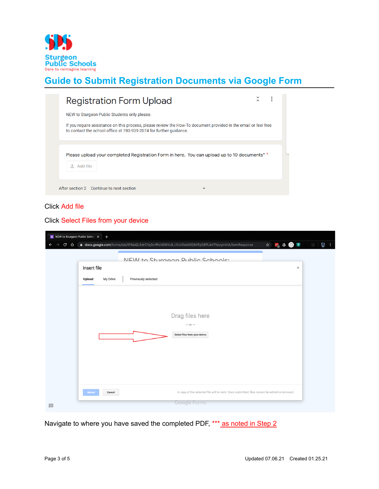

| <b>Registration Form Upload</b>                                                                                                                                                       |  |
|---------------------------------------------------------------------------------------------------------------------------------------------------------------------------------------|--|
| NEW to Sturgeon Public Students only please.                                                                                                                                          |  |
| If you require assistance on this process, please review the How-To document provided in the email or feel free<br>to contact the school office at 780-939-2074 for further guidance. |  |
| Please upload your completed Registration Form in here. You can upload up to 10 documents <sup>*</sup>                                                                                |  |
| ① Add file                                                                                                                                                                            |  |
| After section 2 Continue to next section                                                                                                                                              |  |

## Click Add file

## Click Select Files from your device

|                    | $\begin{picture}(150,10) \put(0,0){\line(1,0){10}} \put(15,0){\line(1,0){10}} \put(15,0){\line(1,0){10}} \put(15,0){\line(1,0){10}} \put(15,0){\line(1,0){10}} \put(15,0){\line(1,0){10}} \put(15,0){\line(1,0){10}} \put(15,0){\line(1,0){10}} \put(15,0){\line(1,0){10}} \put(15,0){\line(1,0){10}} \put(15,0){\line(1,0){10}} \put(15,0){\line($ |
|--------------------|-----------------------------------------------------------------------------------------------------------------------------------------------------------------------------------------------------------------------------------------------------------------------------------------------------------------------------------------------------|
|                    | NEW to Sturgoon Public Schoole:                                                                                                                                                                                                                                                                                                                     |
| Insert file        | $\times$                                                                                                                                                                                                                                                                                                                                            |
| My Drive<br>Upload | Previously selected                                                                                                                                                                                                                                                                                                                                 |
|                    |                                                                                                                                                                                                                                                                                                                                                     |
|                    |                                                                                                                                                                                                                                                                                                                                                     |
|                    | Drag files here                                                                                                                                                                                                                                                                                                                                     |
|                    | $-$ or $-$                                                                                                                                                                                                                                                                                                                                          |
|                    | Select files from your device                                                                                                                                                                                                                                                                                                                       |
|                    |                                                                                                                                                                                                                                                                                                                                                     |
|                    |                                                                                                                                                                                                                                                                                                                                                     |
|                    |                                                                                                                                                                                                                                                                                                                                                     |
|                    |                                                                                                                                                                                                                                                                                                                                                     |
|                    |                                                                                                                                                                                                                                                                                                                                                     |
|                    |                                                                                                                                                                                                                                                                                                                                                     |

Navigate to where you have saved the completed PDF, \*\*\* as noted in Step 2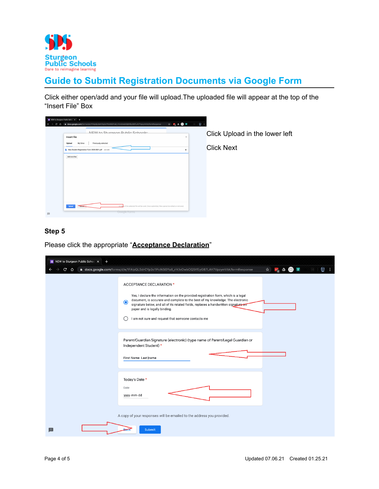

Click either open/add and your file will upload.The uploaded file will appear at the top of the "Insert File" Box

| Insert file        | NEW to Sturgoon Public Schoole:                     | $\boldsymbol{\times}$ |
|--------------------|-----------------------------------------------------|-----------------------|
|                    |                                                     |                       |
| My Drive<br>Upload | Previously selected                                 |                       |
|                    | New Student Registration Form 2020-2021.pdf 642.68K | ×                     |
| Add more files     |                                                     |                       |
|                    |                                                     |                       |
|                    |                                                     |                       |
|                    |                                                     |                       |
|                    |                                                     |                       |
|                    |                                                     |                       |
|                    |                                                     |                       |
|                    |                                                     |                       |
|                    |                                                     |                       |
|                    |                                                     |                       |

Click Upload in the lower left

Click Next

## **Step 5**

Please click the appropriate "**Acceptance Declaration**"

| <b>E</b> NEW to Sturgeon Public Schoo X<br>$\ddot{}$<br>$C$ $\Omega$ | a docs.google.com/forms/d/e/1FAIpQLSdrCYp2o1PicNSGYu8_riVJvDwbOQStfEyG87LAV7VpzymVtA/formResponse                                                                                                                                                                                                                                                                                     | k)<br>$\frac{1}{r}$ $\Delta$ $\Omega$ $s$<br>☆ |
|----------------------------------------------------------------------|---------------------------------------------------------------------------------------------------------------------------------------------------------------------------------------------------------------------------------------------------------------------------------------------------------------------------------------------------------------------------------------|------------------------------------------------|
| $\odot$<br>$\left( \right)$                                          | <b>ACCEPTANCE DECLARATION *</b><br>Yes, I declare the information on the provided registration form, which is a legal<br>document, is accurate and complete to the best of my knowledge. The electronic<br>signature below, and all of its related fields, replaces a handwritten signature on<br>paper and is legally binding.<br>I am not sure and request that someone contacts me |                                                |
|                                                                      | Parent/Guardian Signature (electronic) (type name of Parent/Legal Guardian or<br>Independent Student) *<br>First Name Last name                                                                                                                                                                                                                                                       |                                                |
| Date                                                                 | Today's Date *<br>yyyy-mm-dd                                                                                                                                                                                                                                                                                                                                                          |                                                |
| <b>B</b>                                                             | A copy of your responses will be emailed to the address you provided.<br><b>Submit</b>                                                                                                                                                                                                                                                                                                |                                                |